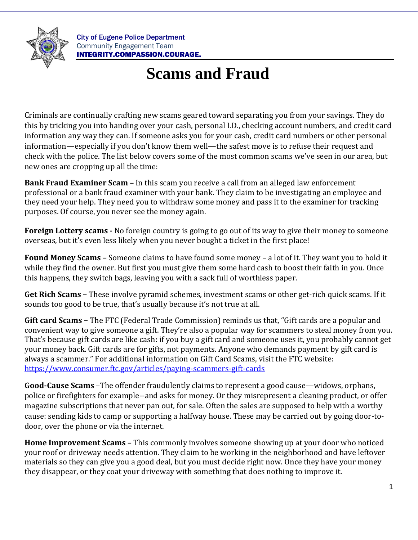

City of Eugene Police Department Community Engagement Team INTEGRITY.COMPASSION.COURAGE.

## **Scams and Fraud**

Criminals are continually crafting new scams geared toward separating you from your savings. They do this by tricking you into handing over your cash, personal I.D., checking account numbers, and credit card information any way they can. If someone asks you for your cash, credit card numbers or other personal information—especially if you don't know them well—the safest move is to refuse their request and check with the police. The list below covers some of the most common scams we've seen in our area, but new ones are cropping up all the time:

**Bank Fraud Examiner Scam –** In this scam you receive a call from an alleged law enforcement professional or a bank fraud examiner with your bank. They claim to be investigating an employee and they need your help. They need you to withdraw some money and pass it to the examiner for tracking purposes. Of course, you never see the money again.

**Foreign Lottery scams -** No foreign country is going to go out of its way to give their money to someone overseas, but it's even less likely when you never bought a ticket in the first place!

**Found Money Scams –** Someone claims to have found some money – a lot of it. They want you to hold it while they find the owner. But first you must give them some hard cash to boost their faith in you. Once this happens, they switch bags, leaving you with a sack full of worthless paper.

**Get Rich Scams –** These involve pyramid schemes, investment scams or other get-rich quick scams. If it sounds too good to be true, that's usually because it's not true at all.

**Gift card Scams –** The FTC (Federal Trade Commission) reminds us that, "Gift cards are a popular and convenient way to give someone a gift. They're also a popular way for scammers to steal money from you. That's because gift cards are like cash: if you buy a gift card and someone uses it, you probably cannot get your money back. Gift cards are for gifts, not payments. Anyone who demands payment by gift card is always a scammer." For additional information on Gift Card Scams, visit the FTC website: <https://www.consumer.ftc.gov/articles/paying-scammers-gift-cards>

**Good-Cause Scams** –The offender fraudulently claims to represent a good cause—widows, orphans, police or firefighters for example--and asks for money. Or they misrepresent a cleaning product, or offer magazine subscriptions that never pan out, for sale. Often the sales are supposed to help with a worthy cause: sending kids to camp or supporting a halfway house. These may be carried out by going door-todoor, over the phone or via the internet.

**Home Improvement Scams –** This commonly involves someone showing up at your door who noticed your roof or driveway needs attention. They claim to be working in the neighborhood and have leftover materials so they can give you a good deal, but you must decide right now. Once they have your money they disappear, or they coat your driveway with something that does nothing to improve it.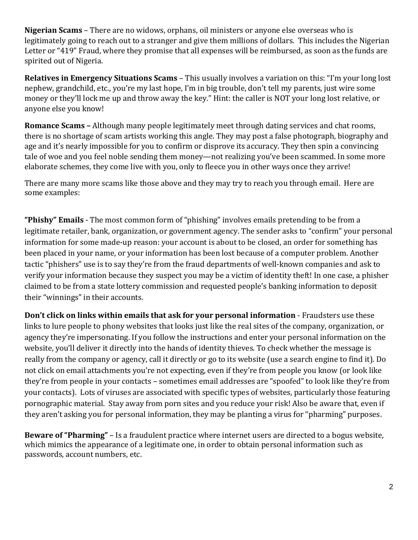**Nigerian Scams** – There are no widows, orphans, oil ministers or anyone else overseas who is legitimately going to reach out to a stranger and give them millions of dollars. This includes the Nigerian Letter or "419" Fraud, where they promise that all expenses will be reimbursed, as soon as the funds are spirited out of Nigeria.

**Relatives in Emergency Situations Scams** – This usually involves a variation on this: "I'm your long lost nephew, grandchild, etc., you're my last hope, I'm in big trouble, don't tell my parents, just wire some money or they'll lock me up and throw away the key." Hint: the caller is NOT your long lost relative, or anyone else you know!

**Romance Scams –** Although many people legitimately meet through dating services and chat rooms, there is no shortage of scam artists working this angle. They may post a false photograph, biography and age and it's nearly impossible for you to confirm or disprove its accuracy. They then spin a convincing tale of woe and you feel noble sending them money—not realizing you've been scammed. In some more elaborate schemes, they come live with you, only to fleece you in other ways once they arrive!

There are many more scams like those above and they may try to reach you through email. Here are some examples:

**"Phishy" Emails** - The most common form of "phishing" involves emails pretending to be from a legitimate retailer, bank, organization, or government agency. The sender asks to "confirm" your personal information for some made-up reason: your account is about to be closed, an order for something has been placed in your name, or your information has been lost because of a computer problem. Another tactic "phishers" use is to say they're from the fraud departments of well-known companies and ask to verify your information because they suspect you may be a victim of identity theft! In one case, a phisher claimed to be from a state lottery commission and requested people's banking information to deposit their "winnings" in their accounts.

**Don't click on links within emails that ask for your personal information** - Fraudsters use these links to lure people to phony websites that looks just like the real sites of the company, organization, or agency they're impersonating. If you follow the instructions and enter your personal information on the website, you'll deliver it directly into the hands of identity thieves. To check whether the message is really from the company or agency, call it directly or go to its website (use a search engine to find it). Do not click on email attachments you're not expecting, even if they're from people you know (or look like they're from people in your contacts – sometimes email addresses are "spoofed" to look like they're from your contacts). Lots of viruses are associated with specific types of websites, particularly those featuring pornographic material. Stay away from porn sites and you reduce your risk! Also be aware that, even if they aren't asking you for personal information, they may be planting a virus for "pharming" purposes.

**Beware of "Pharming"** – Is a fraudulent practice where internet users are directed to a bogus website, which mimics the appearance of a legitimate one, in order to obtain personal information such as passwords, account numbers, etc.